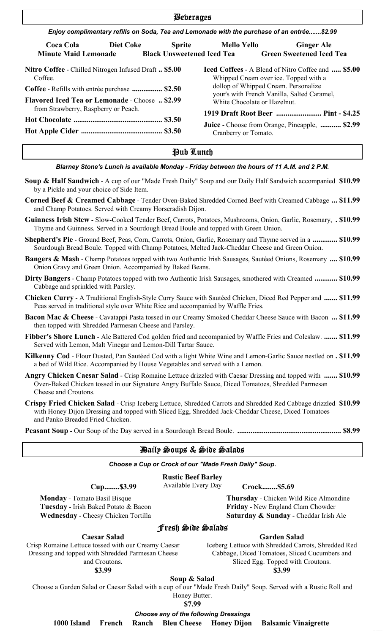| <b>Beberages</b>                                                                                                                                                           |                                   |                      |                                                                                                                                                                                                                                 |  |  |  |  |
|----------------------------------------------------------------------------------------------------------------------------------------------------------------------------|-----------------------------------|----------------------|---------------------------------------------------------------------------------------------------------------------------------------------------------------------------------------------------------------------------------|--|--|--|--|
| Enjoy complimentary refills on Soda, Tea and Lemonade with the purchase of an entrée\$2.99                                                                                 |                                   |                      |                                                                                                                                                                                                                                 |  |  |  |  |
| Diet Coke<br><b>Coca Cola</b><br><b>Minute Maid Lemonade</b>                                                                                                               | <b>Black Unsweetened Iced Tea</b> | Sprite Mello Yello   | <b>Ginger Ale</b><br><b>Green Sweetened Iced Tea</b>                                                                                                                                                                            |  |  |  |  |
| Nitro Coffee - Chilled Nitrogen Infused Draft  \$5.00<br>Coffee.<br>Coffee - Refills with entrée purchase  \$2.50<br><b>Flavored Iced Tea or Lemonade - Choose  \$2.99</b> |                                   |                      | <b>Iced Coffees</b> - A Blend of Nitro Coffee and <b>\$5.00</b><br>Whipped Cream over ice. Topped with a<br>dollop of Whipped Cream. Personalize<br>your's with French Vanilla, Salted Caramel,<br>White Chocolate or Hazelnut. |  |  |  |  |
| from Strawberry, Raspberry or Peach.                                                                                                                                       |                                   | Cranberry or Tomato. | 1919 Draft Root Beer  Pint - \$4.25<br><b>Juice</b> - Choose from Orange, Pineapple,  \$2.99                                                                                                                                    |  |  |  |  |

# Pub Lunch

#### *Blarney Stone's Lunch is available Monday - Friday between the hours of 11 A.M. and 2 P.M.*

- **Soup & Half Sandwich** A cup of our "Made Fresh Daily" Soup and our Daily Half Sandwich accompanied **\$10.99** by a Pickle and your choice of Side Item.
- **Corned Beef & Creamed Cabbage** Tender Oven-Baked Shredded Corned Beef with Creamed Cabbage **... \$11.99** and Champ Potatoes. Served with Creamy Horseradish Dijon.
- **Guinness Irish Stew** Slow-Cooked Tender Beef, Carrots, Potatoes, Mushrooms, Onion, Garlic, Rosemary, **. \$10.99** Thyme and Guinness. Served in a Sourdough Bread Boule and topped with Green Onion.
- **Shepherd's Pie** Ground Beef, Peas, Corn, Carrots, Onion, Garlic, Rosemary and Thyme served in a **............. \$10.99** Sourdough Bread Boule. Topped with Champ Potatoes, Melted Jack-Cheddar Cheese and Green Onion.
- **Bangers & Mash** Champ Potatoes topped with two Authentic Irish Sausages, Sautéed Onions, Rosemary **.... \$10.99** Onion Gravy and Green Onion. Accompanied by Baked Beans.
- **Dirty Bangers** Champ Potatoes topped with two Authentic Irish Sausages, smothered with Creamed **............ \$10.99** Cabbage and sprinkled with Parsley.
- **Chicken Curry** A Traditional English-Style Curry Sauce with Sautéed Chicken, Diced Red Pepper and **....... \$11.99** Peas served in traditional style over White Rice and accompanied by Waffle Fries.
- **Bacon Mac & Cheese** Cavatappi Pasta tossed in our Creamy Smoked Cheddar Cheese Sauce with Bacon **... \$11.99** then topped with Shredded Parmesan Cheese and Parsley.
- **Fibber's Shore Lunch** Ale Battered Cod golden fried and accompanied by Waffle Fries and Coleslaw. **....... \$11.99** Served with Lemon, Malt Vinegar and Lemon-Dill Tartar Sauce.
- **Kilkenny Cod** Flour Dusted, Pan Sautéed Cod with a light White Wine and Lemon-Garlic Sauce nestled on **. \$11.99** a bed of Wild Rice. Accompanied by House Vegetables and served with a Lemon.
- **Angry Chicken Caesar Salad** Crisp Romaine Lettuce drizzled with Caesar Dressing and topped with **....... \$10.99** Oven-Baked Chicken tossed in our Signature Angry Buffalo Sauce, Diced Tomatoes, Shredded Parmesan Cheese and Croutons.
- **Crispy Fried Chicken Salad** Crisp Iceberg Lettuce, Shredded Carrots and Shredded Red Cabbage drizzled **\$10.99** with Honey Dijon Dressing and topped with Sliced Egg, Shredded Jack-Cheddar Cheese, Diced Tomatoes and Panko Breaded Fried Chicken.

**Peasant Soup** - Our Soup of the Day served in a Sourdough Bread Boule. **....................................................... \$8.99**

# Daily Soups & Side Salads

*Choose a Cup or Crock of our "Made Fresh Daily" Soup.*

# **Rustic Beef Barley**

Cup........\$3.99 Available Every Day Crock........\$5.69

**Monday** - Tomato Basil Bisque Thursday - Chicken Wild Rice Almondine Tuesday - Irish Baked Potato & Bacon Friday - New England Clam Chowder

**Wednesday** - Cheesy Chicken Tortilla **Saturday & Sunday** - Cheddar Irish Ale

# Fresh Side Salads

#### **Caesar Salad**

Crisp Romaine Lettuce tossed with our Creamy Caesar Dressing and topped with Shredded Parmesan Cheese and Croutons.

**\$3.99**

Iceberg Lettuce with Shredded Carrots, Shredded Red Cabbage, Diced Tomatoes, Sliced Cucumbers and Sliced Egg. Topped with Croutons.

**Garden Salad**

**\$3.99**

#### **Soup & Salad**

Choose a Garden Salad or Caesar Salad with a cup of our "Made Fresh Daily" Soup. Served with a Rustic Roll and Honey Butter.

**\$7.99**

*Choose any of the following Dressings*

 **1000 Island French Ranch Bleu Cheese Honey Dijon Balsamic Vinaigrette**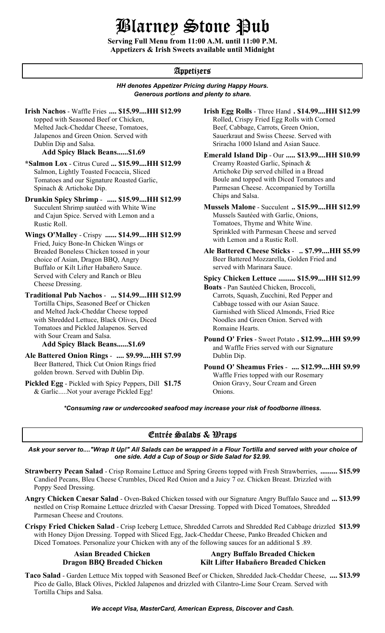# Blarney Stone Pub

**Serving Full Menu from 11:00 A.M. until 11:00 P.M. Appetizers & Irish Sweets available until Midnight**

# Appetizers

# *HH denotes Appetizer Pricing during Happy Hours. Generous portions and plenty to share.*

**Irish Nachos** - Waffle Fries .... \$15.99....HH \$12.99 topped with Seasoned Beef or Chicken, Melted Jack-Cheddar Cheese, Tomatoes, Jalapenos and Green Onion. Served with Dublin Dip and Salsa.

### **Add Spicy Black Beans......\$1.69**

**\*Salmon Lox** - Citrus Cured **... \$15.99....HH \$12.99** Salmon, Lightly Toasted Focaccia, Sliced Tomatoes and our Signature Roasted Garlic, Spinach & Artichoke Dip.

**Drunkin Spicy Shrimp** - **..... \$15.99....HH \$12.99** Succulent Shrimp sautéed with White Wine and Cajun Spice. Served with Lemon and a Rustic Roll.

**Wings O'Malley** - Crispy **...... \$14.99....HH \$12.99** Fried, Juicy Bone-In Chicken Wings or Breaded Boneless Chicken tossed in your choice of Asian, Dragon BBQ, Angry Buffalo or Kilt Lifter Habañero Sauce. Served with Celery and Ranch or Bleu Cheese Dressing.

**Traditional Pub Nachos** - **... \$14.99....HH \$12.99** Tortilla Chips, Seasoned Beef or Chicken and Melted Jack-Cheddar Cheese topped with Shredded Lettuce, Black Olives, Diced Tomatoes and Pickled Jalapenos. Served with Sour Cream and Salsa.

**Ale Battered Onion Rings** - **.... \$9.99....HH \$7.99** Beer Battered, Thick Cut Onion Rings fried golden brown. Served with Dublin Dip.

**Pickled Egg** - Pickled with Spicy Peppers, Dill **\$1.75** & Garlic.....Not your average Pickled Egg!

**.... \$15.99....HH \$12.99 Irish Egg Rolls** - Three Hand **. \$14.99....HH \$12.99** Rolled, Crispy Fried Egg Rolls with Corned Beef, Cabbage, Carrots, Green Onion, Sauerkraut and Swiss Cheese. Served with

Sriracha 1000 Island and Asian Sauce.

Creamy Roasted Garlic, Spinach & Artichoke Dip served chilled in a Bread Boule and topped with Diced Tomatoes and Parmesan Cheese. Accompanied by Tortilla Chips and Salsa. **Emerald Island Dip - Our ..... \$13.99....HH \$10.99** 

### **Mussels Malone** - Succulent **.. \$15.99....HH \$12.99** Mussels Sautéed with Garlic, Onions, Tomatoes, Thyme and White Wine. Sprinkled with Parmesan Cheese and served with Lemon and a Rustic Roll.

**Ale Battered Cheese Sticks** - **.. \$7.99....HH \$5.99** Beer Battered Mozzarella, Golden Fried and served with Marinara Sauce.

**Spicy Chicken Lettuce ......... \$15.99....HH \$12.99**

**Boats** - Pan Sautéed Chicken, Broccoli, Carrots, Squash, Zucchini, Red Pepper and Cabbage tossed with our Asian Sauce. Garnished with Sliced Almonds, Fried Rice Noodles and Green Onion. Served with Romaine Hearts.

**Pound O' Fries** - Sweet Potato . \$12.99....HH \$9.99<br>Add Spicy Black Beans......\$1.69<br>and Waffle Fries served with our Signature and Waffle Fries served with our Signature Dublin Dip.

> **Pound O' Sheamus Fries** - **.... \$12.99....HH \$9.99** Waffle Fries topped with our Rosemary Onion Gravy, Sour Cream and Green Onions.

*\*Consuming raw or undercooked seafood may increase your risk of foodborne illness.*

# Entrée Salads & Wraps

*Ask your server to...."Wrap It Up!" All Salads can be wrapped in a Flour Tortilla and served with your choice of one side. Add a Cup of Soup or Side Salad for \$2.99.*

- **Strawberry Pecan Salad** Crisp Romaine Lettuce and Spring Greens topped with Fresh Strawberries, **......... \$15.99** Candied Pecans, Bleu Cheese Crumbles, Diced Red Onion and a Juicy 7 oz. Chicken Breast. Drizzled with Poppy Seed Dressing.
- **Angry Chicken Caesar Salad** Oven-Baked Chicken tossed with our Signature Angry Buffalo Sauce and **... \$13.99** nestled on Crisp Romaine Lettuce drizzled with Caesar Dressing. Topped with Diced Tomatoes, Shredded Parmesan Cheese and Croutons.
- **Crispy Fried Chicken Salad** Crisp Iceberg Lettuce, Shredded Carrots and Shredded Red Cabbage drizzled **\$13.99** with Honey Dijon Dressing. Topped with Sliced Egg, Jack-Cheddar Cheese, Panko Breaded Chicken and Diced Tomatoes. Personalize your Chicken with any of the following sauces for an additional \$ .89.

# Asian Breaded Chicken **Angry Buffalo Breaded Chicken Dragon BBQ Breaded Chicken Kilt Lifter Habañero Breaded Chicken**

**Taco Salad** - Garden Lettuce Mix topped with Seasoned Beef or Chicken, Shredded Jack-Cheddar Cheese, **.... \$13.99** Pico de Gallo, Black Olives, Pickled Jalapenos and drizzled with Cilantro-Lime Sour Cream. Served with Tortilla Chips and Salsa.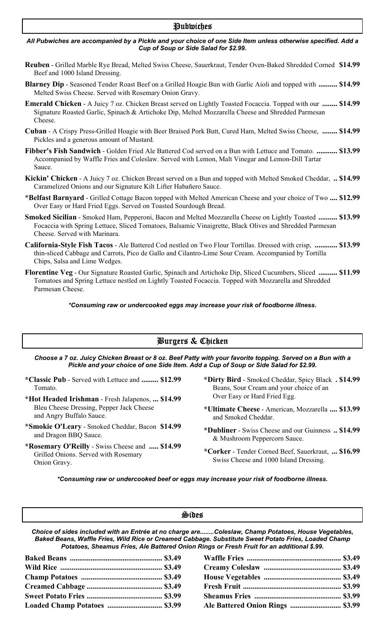# Pubwiches

#### *All Pubwiches are accompanied by a Pickle and your choice of one Side Item unless otherwise specified. Add a Cup of Soup or Side Salad for \$2.99.*

- **Reuben** Grilled Marble Rye Bread, Melted Swiss Cheese, Sauerkraut, Tender Oven-Baked Shredded Corned **\$14.99** Beef and 1000 Island Dressing.
- **Blarney Dip** Seasoned Tender Roast Beef on a Grilled Hoagie Bun with Garlic Aioli and topped with **.......... \$14.99** Melted Swiss Cheese. Served with Rosemary Onion Gravy.
- **Emerald Chicken** A Juicy 7 oz. Chicken Breast served on Lightly Toasted Focaccia. Topped with our **........ \$14.99** Signature Roasted Garlic, Spinach & Artichoke Dip, Melted Mozzarella Cheese and Shredded Parmesan Cheese.
- **Cuban** A Crispy Press-Grilled Hoagie with Beer Braised Pork Butt, Cured Ham, Melted Swiss Cheese, **........ \$14.99** Pickles and a generous amount of Mustard.
- **Fibber's Fish Sandwich** Golden Fried Ale Battered Cod served on a Bun with Lettuce and Tomato. **........... \$13.99** Accompanied by Waffle Fries and Coleslaw. Served with Lemon, Malt Vinegar and Lemon-Dill Tartar Sauce.
- **Kickin' Chicken** A Juicy 7 oz. Chicken Breast served on a Bun and topped with Melted Smoked Cheddar, **.. \$14.99** Caramelized Onions and our Signature Kilt Lifter Habañero Sauce.
- **\*Belfast Barnyard** Grilled Cottage Bacon topped with Melted American Cheese and your choice of Two **.... \$12.99** Over Easy or Hard Fried Eggs. Served on Toasted Sourdough Bread.
- **Smoked Sicilian** Smoked Ham, Pepperoni, Bacon and Melted Mozzarella Cheese on Lightly Toasted **.......... \$13.99** Focaccia with Spring Lettuce, Sliced Tomatoes, Balsamic Vinaigrette, Black Olives and Shredded Parmesan Cheese. Served with Marinara.
- **California-Style Fish Tacos** Ale Battered Cod nestled on Two Flour Tortillas. Dressed with crisp, **............ \$13.99** thin-sliced Cabbage and Carrots, Pico de Gallo and Cilantro-Lime Sour Cream. Accompanied by Tortilla Chips, Salsa and Lime Wedges.
- **Florentine Veg** Our Signature Roasted Garlic, Spinach and Artichoke Dip, Sliced Cucumbers, Sliced **.......... \$11.99** Tomatoes and Spring Lettuce nestled on Lightly Toasted Focaccia. Topped with Mozzarella and Shredded Parmesan Cheese.

*\*Consuming raw or undercooked eggs may increase your risk of foodborne illness.*

# Burgers & Chicken

*Choose a 7 oz. Juicy Chicken Breast or 8 oz. Beef Patty with your favorite topping. Served on a Bun with a Pickle and your choice of one Side Item. Add a Cup of Soup or Side Salad for \$2.99.*

- **\*Classic Pub** Served with Lettuce and Tomato.
- **\*Hot Headed Irishman** Fresh Jalapenos, **... \$14.99** Bleu Cheese Dressing, Pepper Jack Cheese and Angry Buffalo Sauce.
- **\*Smokie O'Leary** Smoked Cheddar, Bacon and Dragon BBQ Sauce.
- **\*Rosemary O'Reilly** Swiss Cheese and **..... \$14.99** Grilled Onions. Served with Rosemary Onion Gravy.
- **......... \$12.99 \*Dirty Bird** Smoked Cheddar, Spicy Black **. \$14.99** Beans, Sour Cream and your choice of an Over Easy or Hard Fried Egg.
	- **\*Ultimate Cheese** American, Mozzarella **.... \$13.99** and Smoked Cheddar.
	- **\$14.99 \*Dubliner** Swiss Cheese and our Guinness **.. \$14.99** & Mushroom Peppercorn Sauce.
		- **\*Corker** Tender Corned Beef, Sauerkraut, **... \$16.99** Swiss Cheese and 1000 Island Dressing.

*\*Consuming raw or undercooked beef or eggs may increase your risk of foodborne illness.*

# Sides

*Choice of sides included with an Entrée at no charge are........Coleslaw, Champ Potatoes, House Vegetables, Baked Beans, Waffle Fries, Wild Rice or Creamed Cabbage. Substitute Sweet Potato Fries, Loaded Champ Potatoes, Sheamus Fries, Ale Battered Onion Rings or Fresh Fruit for an additional \$.99.*

|  | Ale Battered Onion Rings  \$3.99 |  |
|--|----------------------------------|--|
|  |                                  |  |

| Ale Battered Onion Rings  \$3.99 |  |
|----------------------------------|--|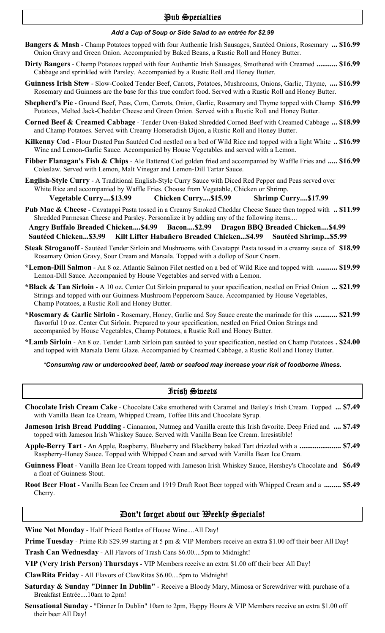# Pub Specialties

# *Add a Cup of Soup or Side Salad to an entrée for \$2.99*

- **Bangers & Mash** Champ Potatoes topped with four Authentic Irish Sausages, Sautéed Onions, Rosemary **... \$16.99** Onion Gravy and Green Onion. Accompanied by Baked Beans, a Rustic Roll and Honey Butter.
- **Dirty Bangers** Champ Potatoes topped with four Authentic Irish Sausages, Smothered with Creamed **........... \$16.99** Cabbage and sprinkled with Parsley. Accompanied by a Rustic Roll and Honey Butter.
- **Guinness Irish Stew** Slow-Cooked Tender Beef, Carrots, Potatoes, Mushrooms, Onions, Garlic, Thyme, **.... \$16.99** Rosemary and Guinness are the base for this true comfort food. Served with a Rustic Roll and Honey Butter.
- **Shepherd's Pie** Ground Beef, Peas, Corn, Carrots, Onion, Garlic, Rosemary and Thyme topped with Champ **\$16.99** Potatoes, Melted Jack-Cheddar Cheese and Green Onion. Served with a Rustic Roll and Honey Butter.
- **Corned Beef & Creamed Cabbage** Tender Oven-Baked Shredded Corned Beef with Creamed Cabbage **... \$18.99** and Champ Potatoes. Served with Creamy Horseradish Dijon, a Rustic Roll and Honey Butter.
- **Kilkenny Cod** Flour Dusted Pan Sautéed Cod nestled on a bed of Wild Rice and topped with a light White **.. \$16.99** Wine and Lemon-Garlic Sauce. Accompanied by House Vegetables and served with a Lemon.
- **Fibber Flanagan's Fish & Chips** Ale Battered Cod golden fried and accompanied by Waffle Fries and **..... \$16.99** Coleslaw. Served with Lemon, Malt Vinegar and Lemon-Dill Tartar Sauce.
- **English-Style Curry** A Traditional English-Style Curry Sauce with Diced Red Pepper and Peas served over White Rice and accompanied by Waffle Fries. Choose from Vegetable, Chicken or Shrimp.  **Vegetable Curry....\$13.99 Chicken Curry....\$15.99 Shrimp Curry....\$17.99**
- **Pub Mac & Cheese** Cavatappi Pasta tossed in a Creamy Smoked Cheddar Cheese Sauce then topped with **.. \$11.99** Shredded Parmesan Cheese and Parsley. Personalize it by adding any of the following items....

 **Angry Buffalo Breaded Chicken....\$4.99 Bacon....\$2.99 Dragon BBQ Breaded Chicken....\$4.99 Sautéed Chicken...\$3.99 Kilt Lifter Habañero Breaded Chicken...\$4.99 Sautéed Shrimp...\$5.99**

- **Steak Stroganoff** Sautéed Tender Sirloin and Mushrooms with Cavatappi Pasta tossed in a creamy sauce of **\$18.99** Rosemary Onion Gravy, Sour Cream and Marsala. Topped with a dollop of Sour Cream.
- **\*Lemon-Dill Salmon** An 8 oz. Atlantic Salmon Filet nestled on a bed of Wild Rice and topped with **........... \$19.99** Lemon-Dill Sauce. Accompanied by House Vegetables and served with a Lemon.
- **\*Black & Tan Sirloin** A 10 oz. Center Cut Sirloin prepared to your specification, nestled on Fried Onion **... \$21.99** Strings and topped with our Guinness Mushroom Peppercorn Sauce. Accompanied by House Vegetables, Champ Potatoes, a Rustic Roll and Honey Butter.
- **\*Rosemary & Garlic Sirloin** Rosemary, Honey, Garlic and Soy Sauce create the marinade for this **............ \$21.99** flavorful 10 oz. Center Cut Sirloin. Prepared to your specification, nestled on Fried Onion Strings and accompanied by House Vegetables, Champ Potatoes, a Rustic Roll and Honey Butter.
- **\*Lamb Sirloin** An 8 oz. Tender Lamb Sirloin pan sautéed to your specification, nestled on Champ Potatoes **. \$24.00** and topped with Marsala Demi Glaze. Accompanied by Creamed Cabbage, a Rustic Roll and Honey Butter.

#### *\*Consuming raw or undercooked beef, lamb or seafood may increase your risk of foodborne illness.*

#### Irish Sweets

- **Chocolate Irish Cream Cake** Chocolate Cake smothered with Caramel and Bailey's Irish Cream. Topped **... \$7.49** with Vanilla Bean Ice Cream, Whipped Cream, Toffee Bits and Chocolate Syrup.
- **Jameson Irish Bread Pudding** Cinnamon, Nutmeg and Vanilla create this Irish favorite. Deep Fried and **.... \$7.49** topped with Jameson Irish Whiskey Sauce. Served with Vanilla Bean Ice Cream. Irresistible!
- **Apple-Berry Tart** An Apple, Raspberry, Blueberry and Blackberry baked Tart drizzled with a **...................... \$7.49** Raspberry-Honey Sauce. Topped with Whipped Crean and served with Vanilla Bean Ice Cream.
- **Guinness Float** Vanilla Bean Ice Cream topped with Jameson Irish Whiskey Sauce, Hershey's Chocolate and **\$6.49** a float of Guinness Stout.
- **Root Beer Float** Vanilla Bean Ice Cream and 1919 Draft Root Beer topped with Whipped Cream and a **......... \$5.49** Cherry.

# Don't forget about our Weekly Specials!

**Wine Not Monday** - Half Priced Bottles of House Wine....All Day!

**Prime Tuesday** - Prime Rib \$29.99 starting at 5 pm & VIP Members receive an extra \$1.00 off their beer All Day! **Trash Can Wednesday** - All Flavors of Trash Cans \$6.00....5pm to Midnight!

**VIP (Very Irish Person) Thursdays** - VIP Members receive an extra \$1.00 off their beer All Day!

**ClawRita Friday** - All Flavors of ClawRitas \$6.00....5pm to Midnight!

- **Saturday & Sunday "Dinner In Dublin"** Receive a Bloody Mary, Mimosa or Screwdriver with purchase of a Breakfast Entrée....10am to 2pm!
- **Sensational Sunday** "Dinner In Dublin" 10am to 2pm, Happy Hours & VIP Members receive an extra \$1.00 off their beer All Day!